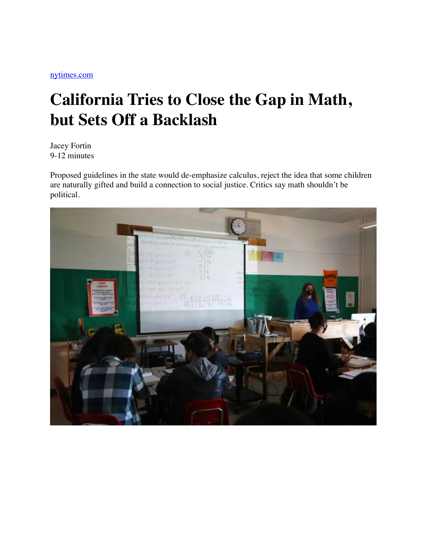## **California Tries to Close the Gap in Math, but Sets Off a Backlash**

Jacey Fortin 9-12 minutes

Proposed guidelines in the state would de-emphasize calculus, reject the idea that some children are naturally gifted and build a connection to social justice. Critics say math shouldn't be political.

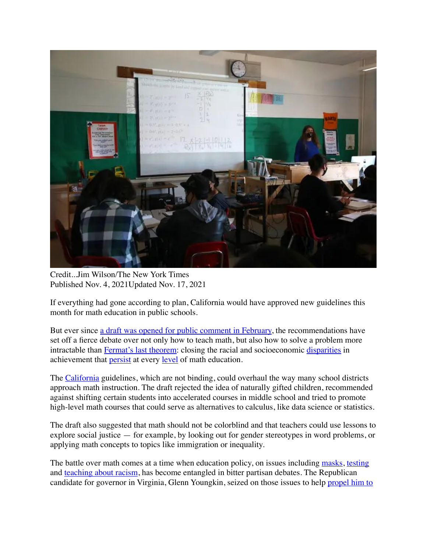

Credit...Jim Wilson/The New York Times Published Nov. 4, 2021Updated Nov. 17, 2021

If everything had gone according to plan, California would have approved new guidelines this month for math education in public schools.

But ever since [a draft was opened for public comment in February,](https://www.cde.ca.gov/ci/ma/cf/) the recommendations have set off a fierce debate over not only how to teach math, but also how to solve a problem more intractable than [Fermat's last theorem](https://www.nytimes.com/1993/06/24/us/at-last-shout-of-eureka-in-age-old-math-mystery.html): closing the racial and socioeconomic [disparities](https://nces.ed.gov/programs/raceindicators/indicator_rcb.asp) in achievement that [persist](https://files.eric.ed.gov/fulltext/EJ1104153.pdf) at every [level](https://www.nytimes.com/2019/02/18/us/edray-goins-black-mathematicians.html) of math education.

The [California](https://www.nytimes.com/spotlight/california-news) guidelines, which are not binding, could overhaul the way many school districts approach math instruction. The draft rejected the idea of naturally gifted children, recommended against shifting certain students into accelerated courses in middle school and tried to promote high-level math courses that could serve as alternatives to calculus, like data science or statistics.

The draft also suggested that math should not be colorblind and that teachers could use lessons to explore social justice — for example, by looking out for gender stereotypes in word problems, or applying math concepts to topics like immigration or inequality.

The battle over math comes at a time when education policy, on issues including [masks](https://www.nytimes.com/2021/09/23/us/politics/disabled-students-mask-mandate.html), [testing](https://www.nytimes.com/2020/05/23/us/SAT-ACT-abolish-debate-california.html) and [teaching about racism,](https://www.nytimes.com/2021/10/21/us/republicans-schools-critical-race-theory.html) has become entangled in bitter partisan debates. The Republican candidate for governor in Virginia, Glenn Youngkin, seized on those issues to help [propel him to](https://www.nytimes.com/2021/11/02/us/elections/youngkin-wins-virginia-governor.html)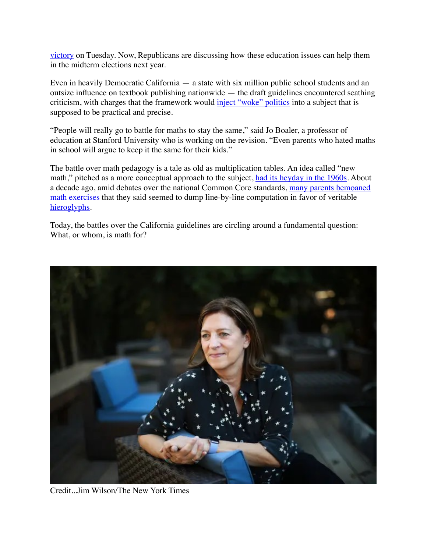[victory](https://www.nytimes.com/2021/11/02/us/elections/youngkin-wins-virginia-governor.html) on Tuesday. Now, Republicans are discussing how these education issues can help them in the midterm elections next year.

Even in heavily Democratic California — a state with six million public school students and an outsize influence on textbook publishing nationwide — the draft guidelines encountered scathing criticism, with charges that the framework would [inject "woke" politics](https://www.nationalreview.com/2021/09/the-folly-of-woke-math/) into a subject that is supposed to be practical and precise.

"People will really go to battle for maths to stay the same," said Jo Boaler, a professor of education at Stanford University who is working on the revision. "Even parents who hated maths in school will argue to keep it the same for their kids."

The battle over math pedagogy is a tale as old as multiplication tables. An idea called "new math," pitched as a more conceptual approach to the subject, [had its heyday in the 1960s.](https://www.nytimes.com/1974/01/06/archives/does-new-math-add-up-new-math.html) About a decade ago, amid debates over the national Common Core standards, [many parents bemoaned](https://www.nytimes.com/2014/06/30/us/math-under-common-core-has-even-parents-stumbling.html)  [math exercises](https://www.nytimes.com/2014/06/30/us/math-under-common-core-has-even-parents-stumbling.html) that they said seemed to dump line-by-line computation in favor of veritable [hieroglyphs.](https://www.nationalreview.com/2014/03/ten-dumbest-common-core-problems-alec-torres/)

Today, the battles over the California guidelines are circling around a fundamental question: What, or whom, is math for?



Credit...Jim Wilson/The New York Times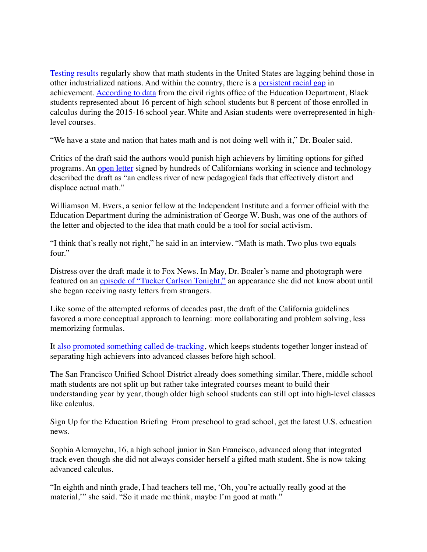[Testing results](https://data.oecd.org/pisa/mathematics-performance-pisa.htm) regularly show that math students in the United States are lagging behind those in other industrialized nations. And within the country, there is a [persistent racial gap](https://www.brookings.edu/blog/brown-center-chalkboard/2017/02/01/race-gaps-in-sat-math-scores-are-as-big-as-ever/) in achievement. [According to data](https://www2.ed.gov/about/offices/list/ocr/docs/crdc-2015-16.html?utm_content=&utm_medium=email&utm_name=&utm_source=govdelivery&utm_term=) from the civil rights office of the Education Department, Black students represented about 16 percent of high school students but 8 percent of those enrolled in calculus during the 2015-16 school year. White and Asian students were overrepresented in highlevel courses.

"We have a state and nation that hates math and is not doing well with it," Dr. Boaler said.

Critics of the draft said the authors would punish high achievers by limiting options for gifted programs. An [open letter](https://www.independent.org/news/article.asp?id=13658) signed by hundreds of Californians working in science and technology described the draft as "an endless river of new pedagogical fads that effectively distort and displace actual math."

Williamson M. Evers, a senior fellow at the Independent Institute and a former official with the Education Department during the administration of George W. Bush, was one of the authors of the letter and objected to the idea that math could be a tool for social activism.

"I think that's really not right," he said in an interview. "Math is math. Two plus two equals four."

Distress over the draft made it to Fox News. In May, Dr. Boaler's name and photograph were featured on an [episode of "Tucker Carlson Tonight,"](https://www.foxnews.com/transcript/tucker-carlson-on-critical-race-theory-new-cdc-mask-guidance) an appearance she did not know about until she began receiving nasty letters from strangers.

Like some of the attempted reforms of decades past, the draft of the California guidelines favored a more conceptual approach to learning: more collaborating and problem solving, less memorizing formulas.

It [also promoted something called de-tracking,](https://www.nytimes.com/2021/11/10/us/california-math-curriculum.html) which keeps students together longer instead of separating high achievers into advanced classes before high school.

The San Francisco Unified School District already does something similar. There, middle school math students are not split up but rather take integrated courses meant to build their understanding year by year, though older high school students can still opt into high-level classes like calculus.

Sign Up for the Education Briefing From preschool to grad school, get the latest U.S. education news.

Sophia Alemayehu, 16, a high school junior in San Francisco, advanced along that integrated track even though she did not always consider herself a gifted math student. She is now taking advanced calculus.

"In eighth and ninth grade, I had teachers tell me, 'Oh, you're actually really good at the material," she said. "So it made me think, maybe I'm good at math."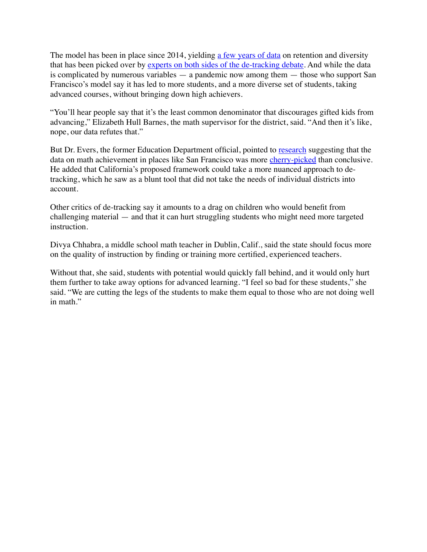The model has been in place since 2014, yielding [a few years of data](https://docs.google.com/presentation/d/1YVPTmQEYimnhrAn9WJPUDHrvCoO_O86C0E8rPMZcTT0/edit?usp=sharing) on retention and diversity that has been picked over by [experts on both sides of the de-tracking debate.](https://www.brookings.edu/blog/brown-center-chalkboard/2021/10/04/does-detracking-promote-educational-equity/) And while the data is complicated by numerous variables — a pandemic now among them — those who support San Francisco's model say it has led to more students, and a more diverse set of students, taking advanced courses, without bringing down high achievers.

"You'll hear people say that it's the least common denominator that discourages gifted kids from advancing," Elizabeth Hull Barnes, the math supervisor for the district, said. "And then it's like, nope, our data refutes that."

But Dr. Evers, the former Education Department official, pointed to [research](https://www.familiesforsanfrancisco.com/updates/inequity-in-numbers) suggesting that the data on math achievement in places like San Francisco was more [cherry-picked](https://www.independent.org/publications/article.asp?id=13698) than conclusive. He added that California's proposed framework could take a more nuanced approach to detracking, which he saw as a blunt tool that did not take the needs of individual districts into account.

Other critics of de-tracking say it amounts to a drag on children who would benefit from challenging material — and that it can hurt struggling students who might need more targeted instruction.

Divya Chhabra, a middle school math teacher in Dublin, Calif., said the state should focus more on the quality of instruction by finding or training more certified, experienced teachers.

Without that, she said, students with potential would quickly fall behind, and it would only hurt them further to take away options for advanced learning. "I feel so bad for these students," she said. "We are cutting the legs of the students to make them equal to those who are not doing well in math."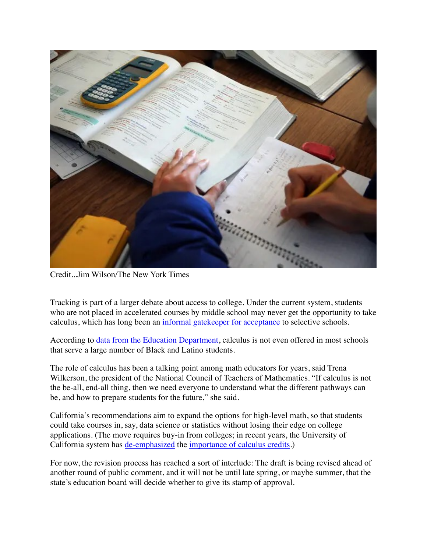

Credit...Jim Wilson/The New York Times

Tracking is part of a larger debate about access to college. Under the current system, students who are not placed in accelerated courses by middle school may never get the opportunity to take calculus, which has long been an [informal gatekeeper for acceptance](https://www.maa.org/sites/default/files/pdf/cspcc/InsightsandRecommendations.pdf) to selective schools.

According to <u>[data from the Education Department](https://www2.ed.gov/about/offices/list/ocr/docs/stem-course-taking.pdf)</u>, calculus is not even offered in most schools that serve a large number of Black and Latino students.

The role of calculus has been a talking point among math educators for years, said Trena Wilkerson, the president of the National Council of Teachers of Mathematics. "If calculus is not the be-all, end-all thing, then we need everyone to understand what the different pathways can be, and how to prepare students for the future," she said.

California's recommendations aim to expand the options for high-level math, so that students could take courses in, say, data science or statistics without losing their edge on college applications. (The move requires buy-in from colleges; in recent years, the University of California system has [de-emphasized](https://senate.universityofcalifornia.edu/_files/committees/boars/documents/BOARS_Statement-Impact-Calculus.pdf) the [importance of calculus credits.](https://edsource.org/2020/university-of-california-expands-list-of-courses-that-meet-math-requirement-for-admission/643173))

For now, the revision process has reached a sort of interlude: The draft is being revised ahead of another round of public comment, and it will not be until late spring, or maybe summer, that the state's education board will decide whether to give its stamp of approval.